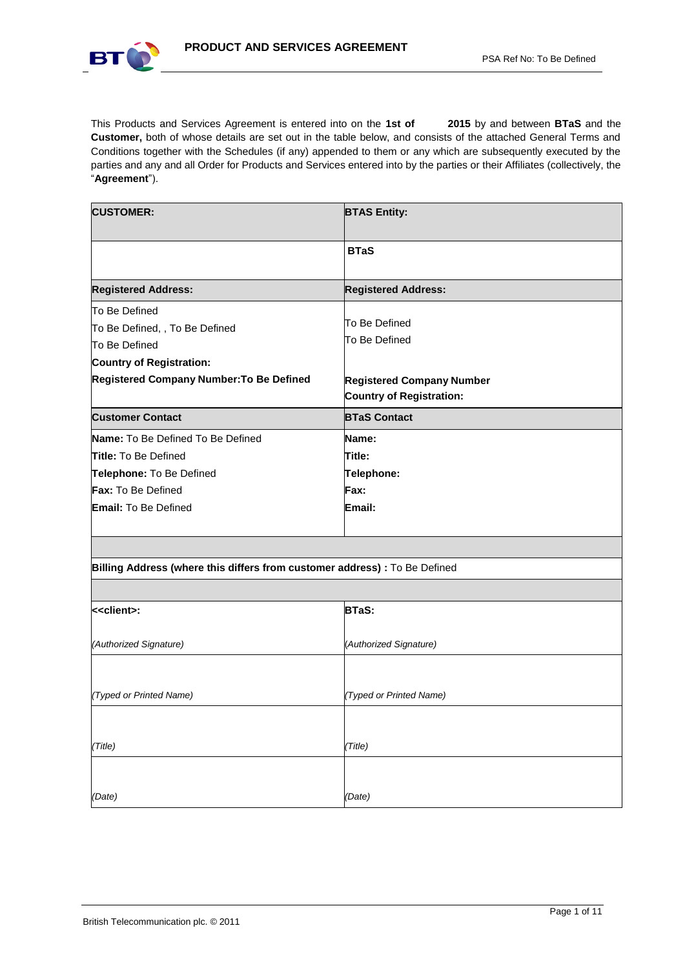

This Products and Services Agreement is entered into on the **1st of 2015** by and between **BTaS** and the **Customer,** both of whose details are set out in the table below, and consists of the attached General Terms and Conditions together with the Schedules (if any) appended to them or any which are subsequently executed by the parties and any and all Order for Products and Services entered into by the parties or their Affiliates (collectively, the "**Agreement**").

| <b>CUSTOMER:</b>                                                                                    | <b>BTAS Entity:</b>                                                 |
|-----------------------------------------------------------------------------------------------------|---------------------------------------------------------------------|
|                                                                                                     | <b>BTaS</b>                                                         |
| <b>Registered Address:</b>                                                                          | <b>Registered Address:</b>                                          |
| To Be Defined<br>To Be Defined, , To Be Defined<br>To Be Defined<br><b>Country of Registration:</b> | To Be Defined<br>To Be Defined                                      |
|                                                                                                     |                                                                     |
| <b>Registered Company Number: To Be Defined</b>                                                     | <b>Registered Company Number</b><br><b>Country of Registration:</b> |
| <b>Customer Contact</b>                                                                             | <b>BTaS Contact</b>                                                 |
| <b>Name:</b> To Be Defined To Be Defined                                                            | Name:                                                               |
| <b>Title:</b> To Be Defined                                                                         | Title:                                                              |
| Telephone: To Be Defined                                                                            | Telephone:                                                          |
| <b>Fax:</b> To Be Defined                                                                           | Fax:                                                                |

# **Billing Address (where this differs from customer address) :** To Be Defined

| < <client>:</client>    | <b>BTaS:</b>            |
|-------------------------|-------------------------|
|                         |                         |
| (Authorized Signature)  | (Authorized Signature)  |
|                         |                         |
|                         |                         |
| (Typed or Printed Name) | (Typed or Printed Name) |
|                         |                         |
|                         |                         |
| (Title)                 | (Title)                 |
|                         |                         |
|                         |                         |
| (Date)                  | (Date)                  |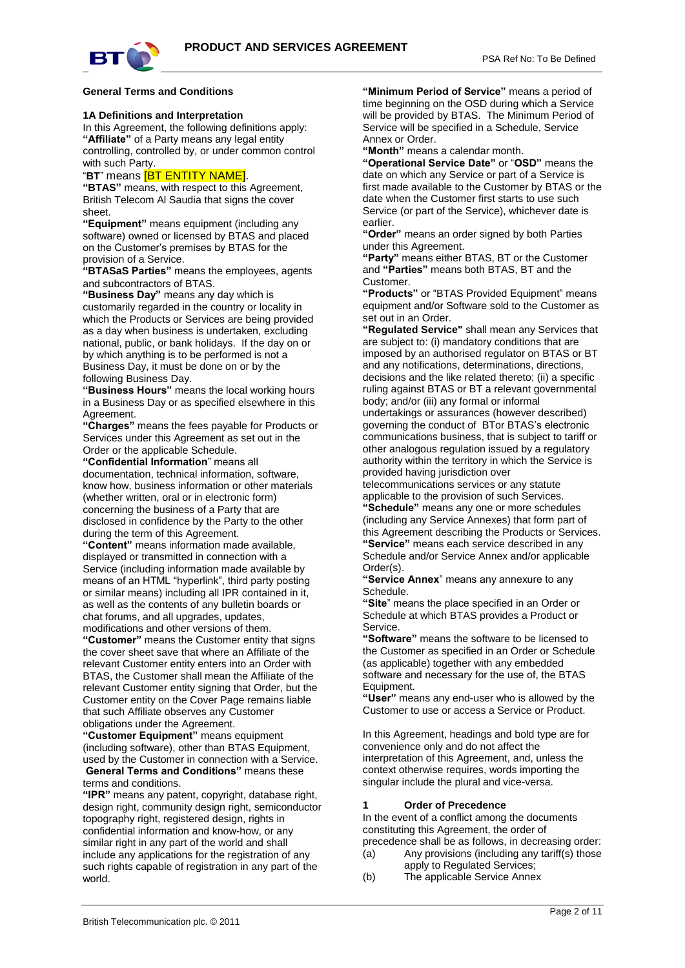

#### **General Terms and Conditions**

#### **1A Definitions and Interpretation**

In this Agreement, the following definitions apply: **"Affiliate"** of a Party means any legal entity controlling, controlled by, or under common control with such Party.

#### "**BT**" means [BT ENTITY NAME].

**"BTAS"** means, with respect to this Agreement, British Telecom Al Saudia that signs the cover sheet.

**"Equipment"** means equipment (including any software) owned or licensed by BTAS and placed on the Customer's premises by BTAS for the provision of a Service.

**"BTASaS Parties"** means the employees, agents and subcontractors of BTAS.

**"Business Day"** means any day which is customarily regarded in the country or locality in which the Products or Services are being provided as a day when business is undertaken, excluding national, public, or bank holidays. If the day on or by which anything is to be performed is not a Business Day, it must be done on or by the following Business Day.

**"Business Hours"** means the local working hours in a Business Day or as specified elsewhere in this Agreement.

**"Charges"** means the fees payable for Products or Services under this Agreement as set out in the Order or the applicable Schedule.

**"Confidential Information**" means all

documentation, technical information, software, know how, business information or other materials (whether written, oral or in electronic form) concerning the business of a Party that are disclosed in confidence by the Party to the other during the term of this Agreement.

**"Content"** means information made available, displayed or transmitted in connection with a Service (including information made available by means of an HTML "hyperlink", third party posting or similar means) including all IPR contained in it, as well as the contents of any bulletin boards or chat forums, and all upgrades, updates, modifications and other versions of them.

**"Customer"** means the Customer entity that signs the cover sheet save that where an Affiliate of the relevant Customer entity enters into an Order with BTAS, the Customer shall mean the Affiliate of the relevant Customer entity signing that Order, but the Customer entity on the Cover Page remains liable that such Affiliate observes any Customer obligations under the Agreement.

**"Customer Equipment"** means equipment (including software), other than BTAS Equipment, used by the Customer in connection with a Service. **General Terms and Conditions"** means these

# terms and conditions.

**"IPR"** means any patent, copyright, database right, design right, community design right, semiconductor topography right, registered design, rights in confidential information and know-how, or any similar right in any part of the world and shall include any applications for the registration of any such rights capable of registration in any part of the world.

**"Minimum Period of Service"** means a period of time beginning on the OSD during which a Service will be provided by BTAS. The Minimum Period of Service will be specified in a Schedule, Service Annex or Order.

**"Month"** means a calendar month.

**"Operational Service Date"** or "**OSD"** means the date on which any Service or part of a Service is first made available to the Customer by BTAS or the date when the Customer first starts to use such Service (or part of the Service), whichever date is earlier.

**"Order"** means an order signed by both Parties under this Agreement.

**"Party"** means either BTAS, BT or the Customer and **"Parties"** means both BTAS, BT and the Customer.

**"Products"** or "BTAS Provided Equipment" means equipment and/or Software sold to the Customer as set out in an Order.

**"Regulated Service"** shall mean any Services that are subject to: (i) mandatory conditions that are imposed by an authorised regulator on BTAS or BT and any notifications, determinations, directions, decisions and the like related thereto; (ii) a specific ruling against BTAS or BT a relevant governmental body; and/or (iii) any formal or informal

undertakings or assurances (however described) governing the conduct of BTor BTAS's electronic communications business, that is subject to tariff or other analogous regulation issued by a regulatory authority within the territory in which the Service is provided having jurisdiction over

telecommunications services or any statute applicable to the provision of such Services.

**"Schedule"** means any one or more schedules (including any Service Annexes) that form part of this Agreement describing the Products or Services. **"Service"** means each service described in any Schedule and/or Service Annex and/or applicable Order(s).

**"Service Annex**" means any annexure to any Schedule.

**"Site**" means the place specified in an Order or Schedule at which BTAS provides a Product or Service.

**"Software"** means the software to be licensed to the Customer as specified in an Order or Schedule (as applicable) together with any embedded software and necessary for the use of, the BTAS Equipment.

**"User"** means any end-user who is allowed by the Customer to use or access a Service or Product.

In this Agreement, headings and bold type are for convenience only and do not affect the interpretation of this Agreement, and, unless the context otherwise requires, words importing the singular include the plural and vice-versa.

#### **1 Order of Precedence**

In the event of a conflict among the documents constituting this Agreement, the order of precedence shall be as follows, in decreasing order:

- $(a)$  Any provisions (including any tariff(s) those apply to Regulated Services;
- (b) The applicable Service Annex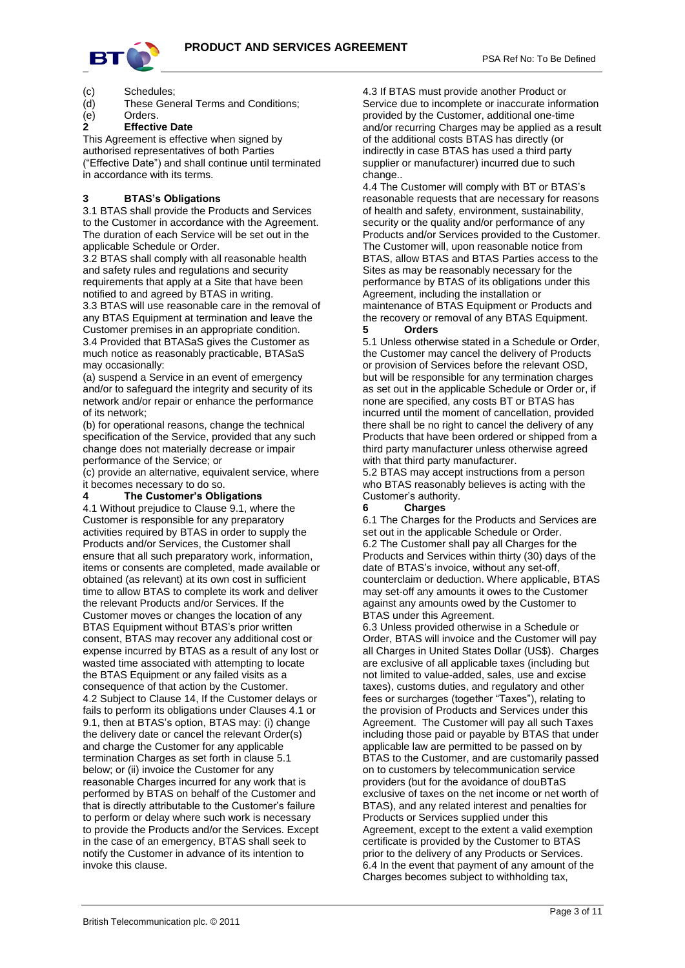

- 
- (c) Schedules; (d) These General Terms and Conditions;
- (e) Orders.

# **2 Effective Date**

This Agreement is effective when signed by authorised representatives of both Parties ("Effective Date") and shall continue until terminated in accordance with its terms.

# **3 BTAS's Obligations**

3.1 BTAS shall provide the Products and Services to the Customer in accordance with the Agreement. The duration of each Service will be set out in the applicable Schedule or Order.

3.2 BTAS shall comply with all reasonable health and safety rules and regulations and security requirements that apply at a Site that have been notified to and agreed by BTAS in writing.

3.3 BTAS will use reasonable care in the removal of any BTAS Equipment at termination and leave the Customer premises in an appropriate condition. 3.4 Provided that BTASaS gives the Customer as much notice as reasonably practicable, BTASaS may occasionally:

(a) suspend a Service in an event of emergency and/or to safeguard the integrity and security of its network and/or repair or enhance the performance of its network;

(b) for operational reasons, change the technical specification of the Service, provided that any such change does not materially decrease or impair performance of the Service; or

(c) provide an alternative, equivalent service, where it becomes necessary to do so.

## **4 The Customer's Obligations**

4.1 Without prejudice to Clause 9.1, where the Customer is responsible for any preparatory activities required by BTAS in order to supply the Products and/or Services, the Customer shall ensure that all such preparatory work, information, items or consents are completed, made available or obtained (as relevant) at its own cost in sufficient time to allow BTAS to complete its work and deliver the relevant Products and/or Services. If the Customer moves or changes the location of any BTAS Equipment without BTAS's prior written consent, BTAS may recover any additional cost or expense incurred by BTAS as a result of any lost or wasted time associated with attempting to locate the BTAS Equipment or any failed visits as a consequence of that action by the Customer. 4.2 Subject to Clause 14, If the Customer delays or fails to perform its obligations under Clauses 4.1 or 9.1, then at BTAS's option, BTAS may: (i) change the delivery date or cancel the relevant Order(s) and charge the Customer for any applicable termination Charges as set forth in clause 5.1 below; or (ii) invoice the Customer for any reasonable Charges incurred for any work that is performed by BTAS on behalf of the Customer and that is directly attributable to the Customer's failure to perform or delay where such work is necessary to provide the Products and/or the Services. Except in the case of an emergency, BTAS shall seek to notify the Customer in advance of its intention to invoke this clause.

4.3 If BTAS must provide another Product or Service due to incomplete or inaccurate information provided by the Customer, additional one-time and/or recurring Charges may be applied as a result of the additional costs BTAS has directly (or indirectly in case BTAS has used a third party supplier or manufacturer) incurred due to such change

4.4 The Customer will comply with BT or BTAS's reasonable requests that are necessary for reasons of health and safety, environment, sustainability, security or the quality and/or performance of any Products and/or Services provided to the Customer. The Customer will, upon reasonable notice from BTAS, allow BTAS and BTAS Parties access to the Sites as may be reasonably necessary for the performance by BTAS of its obligations under this Agreement, including the installation or maintenance of BTAS Equipment or Products and the recovery or removal of any BTAS Equipment.

### **5 Orders**

5.1 Unless otherwise stated in a Schedule or Order, the Customer may cancel the delivery of Products or provision of Services before the relevant OSD, but will be responsible for any termination charges as set out in the applicable Schedule or Order or, if none are specified, any costs BT or BTAS has incurred until the moment of cancellation, provided there shall be no right to cancel the delivery of any Products that have been ordered or shipped from a third party manufacturer unless otherwise agreed with that third party manufacturer.

5.2 BTAS may accept instructions from a person who BTAS reasonably believes is acting with the Customer's authority.

## **6 Charges**

6.1 The Charges for the Products and Services are set out in the applicable Schedule or Order. 6.2 The Customer shall pay all Charges for the Products and Services within thirty (30) days of the date of BTAS's invoice, without any set-off, counterclaim or deduction. Where applicable, BTAS may set-off any amounts it owes to the Customer against any amounts owed by the Customer to BTAS under this Agreement.

6.3 Unless provided otherwise in a Schedule or Order, BTAS will invoice and the Customer will pay all Charges in United States Dollar (US\$). Charges are exclusive of all applicable taxes (including but not limited to value-added, sales, use and excise taxes), customs duties, and regulatory and other fees or surcharges (together "Taxes"), relating to the provision of Products and Services under this Agreement. The Customer will pay all such Taxes including those paid or payable by BTAS that under applicable law are permitted to be passed on by BTAS to the Customer, and are customarily passed on to customers by telecommunication service providers (but for the avoidance of douBTaS exclusive of taxes on the net income or net worth of BTAS), and any related interest and penalties for Products or Services supplied under this Agreement, except to the extent a valid exemption certificate is provided by the Customer to BTAS prior to the delivery of any Products or Services. 6.4 In the event that payment of any amount of the Charges becomes subject to withholding tax,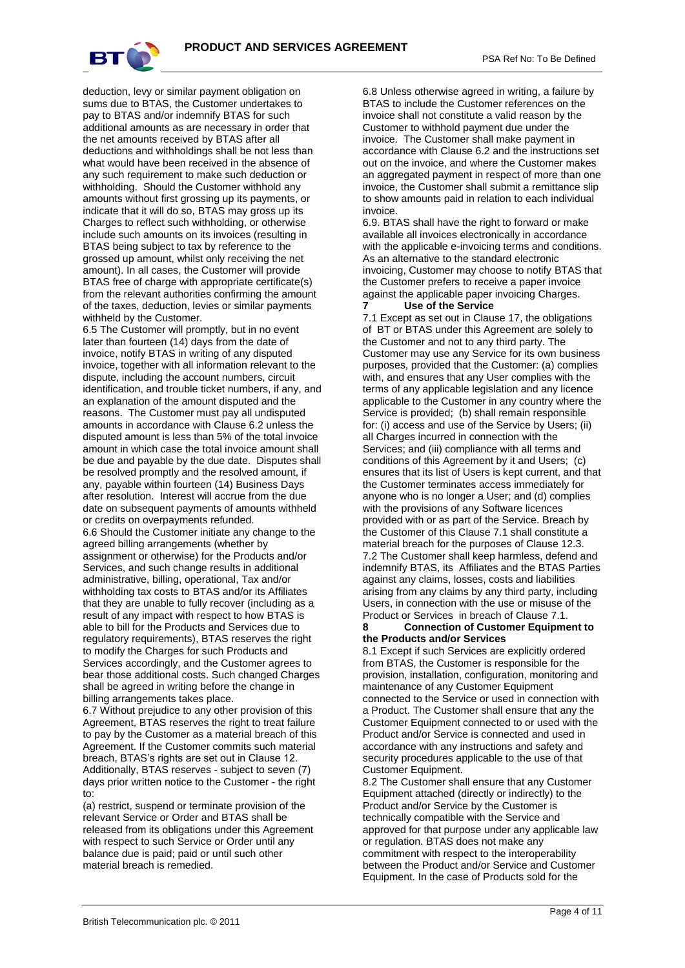

deduction, levy or similar payment obligation on sums due to BTAS, the Customer undertakes to pay to BTAS and/or indemnify BTAS for such additional amounts as are necessary in order that the net amounts received by BTAS after all deductions and withholdings shall be not less than what would have been received in the absence of any such requirement to make such deduction or withholding. Should the Customer withhold any amounts without first grossing up its payments, or indicate that it will do so, BTAS may gross up its Charges to reflect such withholding, or otherwise include such amounts on its invoices (resulting in BTAS being subject to tax by reference to the grossed up amount, whilst only receiving the net amount). In all cases, the Customer will provide BTAS free of charge with appropriate certificate(s) from the relevant authorities confirming the amount of the taxes, deduction, levies or similar payments withheld by the Customer.

6.5 The Customer will promptly, but in no event later than fourteen (14) days from the date of invoice, notify BTAS in writing of any disputed invoice, together with all information relevant to the dispute, including the account numbers, circuit identification, and trouble ticket numbers, if any, and an explanation of the amount disputed and the reasons. The Customer must pay all undisputed amounts in accordance with Clause 6.2 unless the disputed amount is less than 5% of the total invoice amount in which case the total invoice amount shall be due and payable by the due date. Disputes shall be resolved promptly and the resolved amount, if any, payable within fourteen (14) Business Days after resolution. Interest will accrue from the due date on subsequent payments of amounts withheld or credits on overpayments refunded. 6.6 Should the Customer initiate any change to the agreed billing arrangements (whether by assignment or otherwise) for the Products and/or Services, and such change results in additional administrative, billing, operational, Tax and/or withholding tax costs to BTAS and/or its Affiliates that they are unable to fully recover (including as a result of any impact with respect to how BTAS is able to bill for the Products and Services due to regulatory requirements), BTAS reserves the right to modify the Charges for such Products and Services accordingly, and the Customer agrees to

bear those additional costs. Such changed Charges shall be agreed in writing before the change in billing arrangements takes place.

6.7 Without prejudice to any other provision of this Agreement, BTAS reserves the right to treat failure to pay by the Customer as a material breach of this Agreement. If the Customer commits such material breach, BTAS's rights are set out in Clause 12. Additionally, BTAS reserves - subject to seven (7) days prior written notice to the Customer - the right to:

(a) restrict, suspend or terminate provision of the relevant Service or Order and BTAS shall be released from its obligations under this Agreement with respect to such Service or Order until any balance due is paid; paid or until such other material breach is remedied.

6.8 Unless otherwise agreed in writing, a failure by BTAS to include the Customer references on the invoice shall not constitute a valid reason by the Customer to withhold payment due under the invoice. The Customer shall make payment in accordance with Clause 6.2 and the instructions set out on the invoice, and where the Customer makes an aggregated payment in respect of more than one invoice, the Customer shall submit a remittance slip to show amounts paid in relation to each individual invoice.

6.9. BTAS shall have the right to forward or make available all invoices electronically in accordance with the applicable e-invoicing terms and conditions. As an alternative to the standard electronic invoicing, Customer may choose to notify BTAS that the Customer prefers to receive a paper invoice against the applicable paper invoicing Charges.

#### **7 Use of the Service**

7.1 Except as set out in Clause 17, the obligations of BT or BTAS under this Agreement are solely to the Customer and not to any third party. The Customer may use any Service for its own business purposes, provided that the Customer: (a) complies with, and ensures that any User complies with the terms of any applicable legislation and any licence applicable to the Customer in any country where the Service is provided; (b) shall remain responsible for: (i) access and use of the Service by Users; (ii) all Charges incurred in connection with the Services: and (iii) compliance with all terms and conditions of this Agreement by it and Users; (c) ensures that its list of Users is kept current, and that the Customer terminates access immediately for anyone who is no longer a User; and (d) complies with the provisions of any Software licences provided with or as part of the Service. Breach by the Customer of this Clause 7.1 shall constitute a material breach for the purposes of Clause 12.3. 7.2 The Customer shall keep harmless, defend and indemnify BTAS, its Affiliates and the BTAS Parties against any claims, losses, costs and liabilities arising from any claims by any third party, including Users, in connection with the use or misuse of the Product or Services in breach of Clause 7.1.

## **8 Connection of Customer Equipment to the Products and/or Services**

8.1 Except if such Services are explicitly ordered from BTAS, the Customer is responsible for the provision, installation, configuration, monitoring and maintenance of any Customer Equipment connected to the Service or used in connection with a Product. The Customer shall ensure that any the Customer Equipment connected to or used with the Product and/or Service is connected and used in accordance with any instructions and safety and security procedures applicable to the use of that Customer Equipment.

8.2 The Customer shall ensure that any Customer Equipment attached (directly or indirectly) to the Product and/or Service by the Customer is technically compatible with the Service and approved for that purpose under any applicable law or regulation. BTAS does not make any commitment with respect to the interoperability between the Product and/or Service and Customer Equipment. In the case of Products sold for the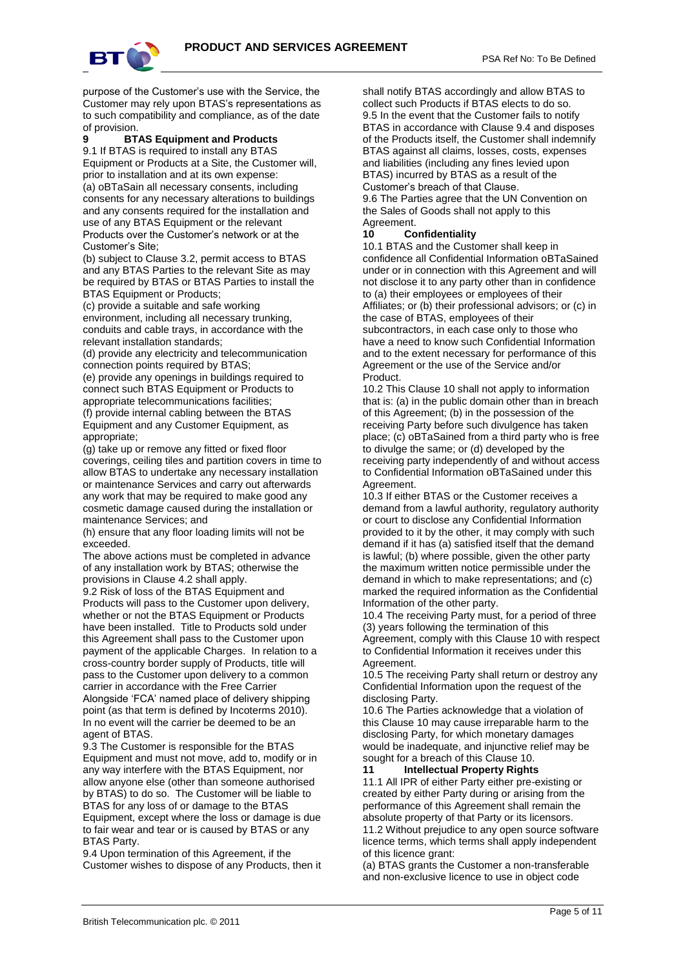

purpose of the Customer's use with the Service, the Customer may rely upon BTAS's representations as to such compatibility and compliance, as of the date

#### of provision. **9 BTAS Equipment and Products**

9.1 If BTAS is required to install any BTAS Equipment or Products at a Site, the Customer will, prior to installation and at its own expense: (a) oBTaSain all necessary consents, including consents for any necessary alterations to buildings and any consents required for the installation and use of any BTAS Equipment or the relevant Products over the Customer's network or at the Customer's Site;

(b) subject to Clause 3.2, permit access to BTAS and any BTAS Parties to the relevant Site as may be required by BTAS or BTAS Parties to install the BTAS Equipment or Products;

(c) provide a suitable and safe working environment, including all necessary trunking, conduits and cable trays, in accordance with the relevant installation standards;

(d) provide any electricity and telecommunication connection points required by BTAS;

(e) provide any openings in buildings required to connect such BTAS Equipment or Products to appropriate telecommunications facilities; (f) provide internal cabling between the BTAS

Equipment and any Customer Equipment, as appropriate; (g) take up or remove any fitted or fixed floor

coverings, ceiling tiles and partition covers in time to allow BTAS to undertake any necessary installation or maintenance Services and carry out afterwards any work that may be required to make good any cosmetic damage caused during the installation or maintenance Services; and

(h) ensure that any floor loading limits will not be exceeded.

The above actions must be completed in advance of any installation work by BTAS; otherwise the provisions in Clause 4.2 shall apply.

9.2 Risk of loss of the BTAS Equipment and Products will pass to the Customer upon delivery, whether or not the BTAS Equipment or Products have been installed. Title to Products sold under this Agreement shall pass to the Customer upon payment of the applicable Charges. In relation to a cross-country border supply of Products, title will pass to the Customer upon delivery to a common carrier in accordance with the Free Carrier Alongside 'FCA' named place of delivery shipping point (as that term is defined by Incoterms 2010). In no event will the carrier be deemed to be an agent of BTAS.

9.3 The Customer is responsible for the BTAS Equipment and must not move, add to, modify or in any way interfere with the BTAS Equipment, nor allow anyone else (other than someone authorised by BTAS) to do so. The Customer will be liable to BTAS for any loss of or damage to the BTAS Equipment, except where the loss or damage is due to fair wear and tear or is caused by BTAS or any BTAS Party.

9.4 Upon termination of this Agreement, if the Customer wishes to dispose of any Products, then it shall notify BTAS accordingly and allow BTAS to collect such Products if BTAS elects to do so. 9.5 In the event that the Customer fails to notify BTAS in accordance with Clause 9.4 and disposes of the Products itself, the Customer shall indemnify BTAS against all claims, losses, costs, expenses and liabilities (including any fines levied upon BTAS) incurred by BTAS as a result of the Customer's breach of that Clause. 9.6 The Parties agree that the UN Convention on

the Sales of Goods shall not apply to this Agreement.

## **10 Confidentiality**

10.1 BTAS and the Customer shall keep in confidence all Confidential Information oBTaSained under or in connection with this Agreement and will not disclose it to any party other than in confidence to (a) their employees or employees of their Affiliates; or (b) their professional advisors; or (c) in the case of BTAS, employees of their subcontractors, in each case only to those who have a need to know such Confidential Information and to the extent necessary for performance of this Agreement or the use of the Service and/or Product.

10.2 This Clause 10 shall not apply to information that is: (a) in the public domain other than in breach of this Agreement; (b) in the possession of the receiving Party before such divulgence has taken place; (c) oBTaSained from a third party who is free to divulge the same; or (d) developed by the receiving party independently of and without access to Confidential Information oBTaSained under this Agreement.

10.3 If either BTAS or the Customer receives a demand from a lawful authority, regulatory authority or court to disclose any Confidential Information provided to it by the other, it may comply with such demand if it has (a) satisfied itself that the demand is lawful; (b) where possible, given the other party the maximum written notice permissible under the demand in which to make representations; and (c) marked the required information as the Confidential Information of the other party.

10.4 The receiving Party must, for a period of three (3) years following the termination of this Agreement, comply with this Clause 10 with respect to Confidential Information it receives under this **Agreement** 

10.5 The receiving Party shall return or destroy any Confidential Information upon the request of the disclosing Party.

10.6 The Parties acknowledge that a violation of this Clause 10 may cause irreparable harm to the disclosing Party, for which monetary damages would be inadequate, and injunctive relief may be sought for a breach of this Clause 10.

### **11 Intellectual Property Rights**

11.1 All IPR of either Party either pre-existing or created by either Party during or arising from the performance of this Agreement shall remain the absolute property of that Party or its licensors. 11.2 Without prejudice to any open source software licence terms, which terms shall apply independent of this licence grant:

(a) BTAS grants the Customer a non-transferable and non-exclusive licence to use in object code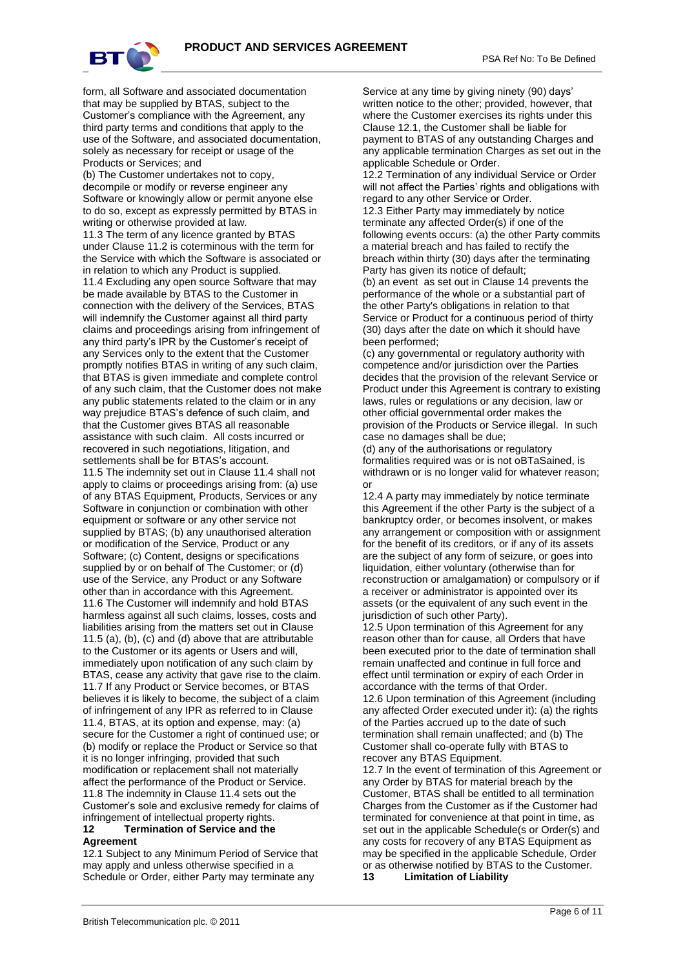

form, all Software and associated documentation that may be supplied by BTAS, subject to the Customer's compliance with the Agreement, any third party terms and conditions that apply to the use of the Software, and associated documentation, solely as necessary for receipt or usage of the Products or Services; and

(b) The Customer undertakes not to copy, decompile or modify or reverse engineer any Software or knowingly allow or permit anyone else to do so, except as expressly permitted by BTAS in writing or otherwise provided at law. 11.3 The term of any licence granted by BTAS under Clause 11.2 is coterminous with the term for the Service with which the Software is associated or in relation to which any Product is supplied. 11.4 Excluding any open source Software that may be made available by BTAS to the Customer in connection with the delivery of the Services, BTAS will indemnify the Customer against all third party claims and proceedings arising from infringement of any third party's IPR by the Customer's receipt of any Services only to the extent that the Customer promptly notifies BTAS in writing of any such claim, that BTAS is given immediate and complete control of any such claim, that the Customer does not make any public statements related to the claim or in any way prejudice BTAS's defence of such claim, and that the Customer gives BTAS all reasonable assistance with such claim. All costs incurred or recovered in such negotiations, litigation, and settlements shall be for BTAS's account. 11.5 The indemnity set out in Clause 11.4 shall not apply to claims or proceedings arising from: (a) use of any BTAS Equipment, Products, Services or any Software in conjunction or combination with other equipment or software or any other service not supplied by BTAS; (b) any unauthorised alteration or modification of the Service, Product or any Software; (c) Content, designs or specifications supplied by or on behalf of The Customer; or (d) use of the Service, any Product or any Software other than in accordance with this Agreement. 11.6 The Customer will indemnify and hold BTAS harmless against all such claims, losses, costs and liabilities arising from the matters set out in Clause 11.5 (a), (b), (c) and (d) above that are attributable to the Customer or its agents or Users and will, immediately upon notification of any such claim by BTAS, cease any activity that gave rise to the claim. 11.7 If any Product or Service becomes, or BTAS believes it is likely to become, the subject of a claim of infringement of any IPR as referred to in Clause 11.4, BTAS, at its option and expense, may: (a) secure for the Customer a right of continued use; or (b) modify or replace the Product or Service so that it is no longer infringing, provided that such modification or replacement shall not materially affect the performance of the Product or Service. 11.8 The indemnity in Clause 11.4 sets out the Customer's sole and exclusive remedy for claims of infringement of intellectual property rights. **12 Termination of Service and the** 

# **Agreement**

12.1 Subject to any Minimum Period of Service that may apply and unless otherwise specified in a Schedule or Order, either Party may terminate any

Service at any time by giving ninety (90) days' written notice to the other; provided, however, that where the Customer exercises its rights under this Clause 12.1, the Customer shall be liable for payment to BTAS of any outstanding Charges and any applicable termination Charges as set out in the applicable Schedule or Order.

12.2 Termination of any individual Service or Order will not affect the Parties' rights and obligations with regard to any other Service or Order.

12.3 Either Party may immediately by notice terminate any affected Order(s) if one of the following events occurs: (a) the other Party commits a material breach and has failed to rectify the breach within thirty (30) days after the terminating Party has given its notice of default;

(b) an event as set out in Clause 14 prevents the performance of the whole or a substantial part of the other Party's obligations in relation to that Service or Product for a continuous period of thirty (30) days after the date on which it should have been performed;

(c) any governmental or regulatory authority with competence and/or jurisdiction over the Parties decides that the provision of the relevant Service or Product under this Agreement is contrary to existing laws, rules or regulations or any decision, law or other official governmental order makes the provision of the Products or Service illegal. In such case no damages shall be due;

(d) any of the authorisations or regulatory formalities required was or is not oBTaSained, is withdrawn or is no longer valid for whatever reason; or

12.4 A party may immediately by notice terminate this Agreement if the other Party is the subject of a bankruptcy order, or becomes insolvent, or makes any arrangement or composition with or assignment for the benefit of its creditors, or if any of its assets are the subject of any form of seizure, or goes into liquidation, either voluntary (otherwise than for reconstruction or amalgamation) or compulsory or if a receiver or administrator is appointed over its assets (or the equivalent of any such event in the jurisdiction of such other Party).

12.5 Upon termination of this Agreement for any reason other than for cause, all Orders that have been executed prior to the date of termination shall remain unaffected and continue in full force and effect until termination or expiry of each Order in accordance with the terms of that Order.

12.6 Upon termination of this Agreement (including any affected Order executed under it): (a) the rights of the Parties accrued up to the date of such termination shall remain unaffected; and (b) The Customer shall co-operate fully with BTAS to recover any BTAS Equipment.

12.7 In the event of termination of this Agreement or any Order by BTAS for material breach by the Customer, BTAS shall be entitled to all termination Charges from the Customer as if the Customer had terminated for convenience at that point in time, as set out in the applicable Schedule(s or Order(s) and any costs for recovery of any BTAS Equipment as may be specified in the applicable Schedule, Order or as otherwise notified by BTAS to the Customer.

**13 Limitation of Liability**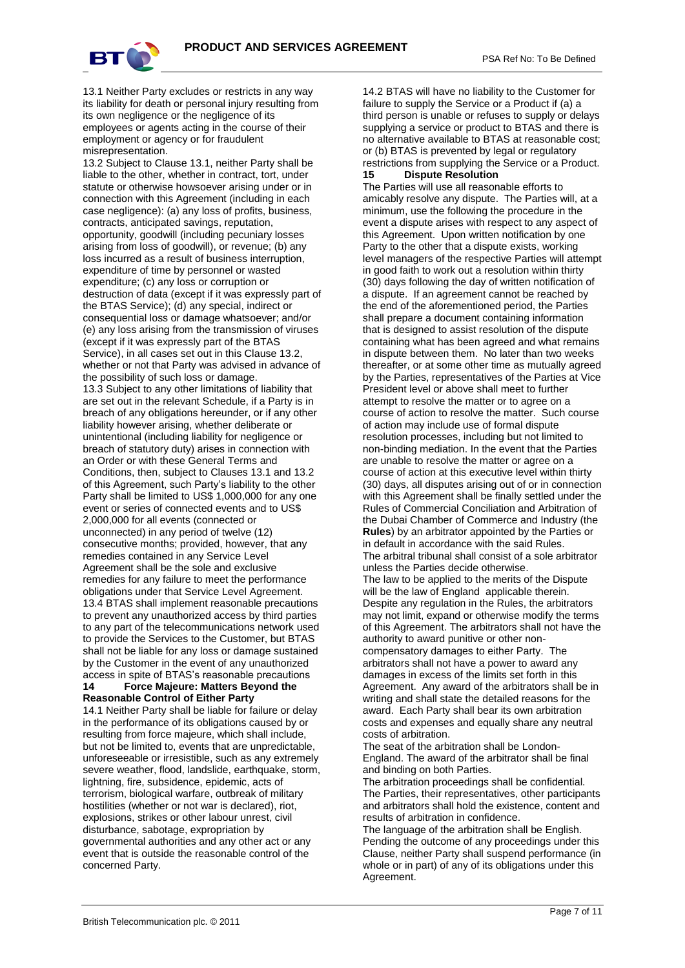

13.1 Neither Party excludes or restricts in any way its liability for death or personal injury resulting from its own negligence or the negligence of its employees or agents acting in the course of their employment or agency or for fraudulent misrepresentation.

13.2 Subject to Clause 13.1, neither Party shall be liable to the other, whether in contract, tort, under statute or otherwise howsoever arising under or in connection with this Agreement (including in each case negligence): (a) any loss of profits, business, contracts, anticipated savings, reputation, opportunity, goodwill (including pecuniary losses arising from loss of goodwill), or revenue; (b) any loss incurred as a result of business interruption, expenditure of time by personnel or wasted expenditure; (c) any loss or corruption or destruction of data (except if it was expressly part of the BTAS Service); (d) any special, indirect or consequential loss or damage whatsoever; and/or (e) any loss arising from the transmission of viruses (except if it was expressly part of the BTAS Service), in all cases set out in this Clause 13.2, whether or not that Party was advised in advance of the possibility of such loss or damage. 13.3 Subject to any other limitations of liability that are set out in the relevant Schedule, if a Party is in breach of any obligations hereunder, or if any other liability however arising, whether deliberate or unintentional (including liability for negligence or breach of statutory duty) arises in connection with an Order or with these General Terms and Conditions, then, subject to Clauses 13.1 and 13.2 of this Agreement, such Party's liability to the other Party shall be limited to US\$ 1,000,000 for any one event or series of connected events and to US\$ 2,000,000 for all events (connected or unconnected) in any period of twelve (12) consecutive months; provided, however, that any remedies contained in any Service Level Agreement shall be the sole and exclusive remedies for any failure to meet the performance obligations under that Service Level Agreement. 13.4 BTAS shall implement reasonable precautions to prevent any unauthorized access by third parties to any part of the telecommunications network used to provide the Services to the Customer, but BTAS shall not be liable for any loss or damage sustained by the Customer in the event of any unauthorized access in spite of BTAS's reasonable precautions **14 Force Majeure: Matters Beyond the Reasonable Control of Either Party**

14.1 Neither Party shall be liable for failure or delay in the performance of its obligations caused by or resulting from force majeure, which shall include, but not be limited to, events that are unpredictable, unforeseeable or irresistible, such as any extremely severe weather, flood, landslide, earthquake, storm, lightning, fire, subsidence, epidemic, acts of terrorism, biological warfare, outbreak of military hostilities (whether or not war is declared), riot, explosions, strikes or other labour unrest, civil disturbance, sabotage, expropriation by governmental authorities and any other act or any event that is outside the reasonable control of the concerned Party.

14.2 BTAS will have no liability to the Customer for failure to supply the Service or a Product if (a) a third person is unable or refuses to supply or delays supplying a service or product to BTAS and there is no alternative available to BTAS at reasonable cost; or (b) BTAS is prevented by legal or regulatory restrictions from supplying the Service or a Product. **15 Dispute Resolution**

The Parties will use all reasonable efforts to amicably resolve any dispute. The Parties will, at a minimum, use the following the procedure in the event a dispute arises with respect to any aspect of this Agreement. Upon written notification by one Party to the other that a dispute exists, working level managers of the respective Parties will attempt in good faith to work out a resolution within thirty (30) days following the day of written notification of a dispute. If an agreement cannot be reached by the end of the aforementioned period, the Parties shall prepare a document containing information that is designed to assist resolution of the dispute containing what has been agreed and what remains in dispute between them. No later than two weeks thereafter, or at some other time as mutually agreed by the Parties, representatives of the Parties at Vice President level or above shall meet to further attempt to resolve the matter or to agree on a course of action to resolve the matter. Such course of action may include use of formal dispute resolution processes, including but not limited to non-binding mediation. In the event that the Parties are unable to resolve the matter or agree on a course of action at this executive level within thirty (30) days, all disputes arising out of or in connection with this Agreement shall be finally settled under the Rules of Commercial Conciliation and Arbitration of the Dubai Chamber of Commerce and Industry (the **Rules**) by an arbitrator appointed by the Parties or in default in accordance with the said Rules. The arbitral tribunal shall consist of a sole arbitrator unless the Parties decide otherwise.

The law to be applied to the merits of the Dispute will be the law of England applicable therein. Despite any regulation in the Rules, the arbitrators may not limit, expand or otherwise modify the terms of this Agreement. The arbitrators shall not have the authority to award punitive or other noncompensatory damages to either Party. The arbitrators shall not have a power to award any damages in excess of the limits set forth in this Agreement. Any award of the arbitrators shall be in writing and shall state the detailed reasons for the award. Each Party shall bear its own arbitration costs and expenses and equally share any neutral costs of arbitration.

The seat of the arbitration shall be London-England. The award of the arbitrator shall be final and binding on both Parties.

The arbitration proceedings shall be confidential. The Parties, their representatives, other participants and arbitrators shall hold the existence, content and results of arbitration in confidence.

The language of the arbitration shall be English. Pending the outcome of any proceedings under this Clause, neither Party shall suspend performance (in whole or in part) of any of its obligations under this Agreement.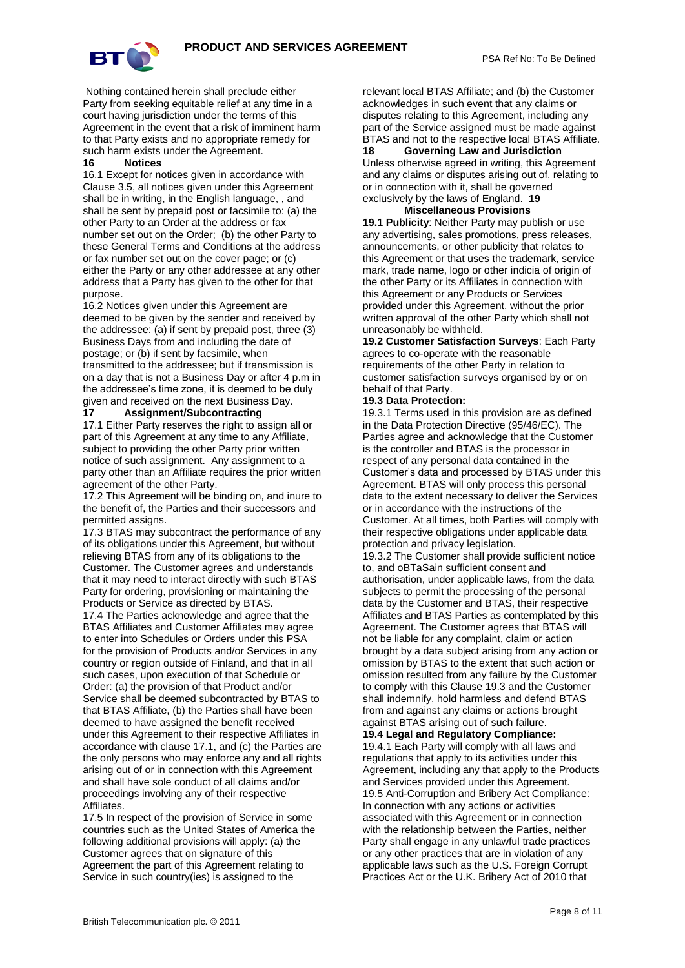

Nothing contained herein shall preclude either Party from seeking equitable relief at any time in a court having jurisdiction under the terms of this Agreement in the event that a risk of imminent harm to that Party exists and no appropriate remedy for such harm exists under the Agreement.

### **16 Notices**

16.1 Except for notices given in accordance with Clause 3.5, all notices given under this Agreement shall be in writing, in the English language, , and shall be sent by prepaid post or facsimile to: (a) the other Party to an Order at the address or fax number set out on the Order; (b) the other Party to these General Terms and Conditions at the address or fax number set out on the cover page; or (c) either the Party or any other addressee at any other address that a Party has given to the other for that purpose.

16.2 Notices given under this Agreement are deemed to be given by the sender and received by the addressee: (a) if sent by prepaid post, three (3) Business Days from and including the date of postage; or (b) if sent by facsimile, when transmitted to the addressee; but if transmission is on a day that is not a Business Day or after 4 p.m in the addressee's time zone, it is deemed to be duly given and received on the next Business Day.<br>17 **Assignment/Subcontracting** 

#### **17 Assignment/Subcontracting**

17.1 Either Party reserves the right to assign all or part of this Agreement at any time to any Affiliate, subject to providing the other Party prior written notice of such assignment. Any assignment to a party other than an Affiliate requires the prior written agreement of the other Party.

17.2 This Agreement will be binding on, and inure to the benefit of, the Parties and their successors and permitted assigns.

17.3 BTAS may subcontract the performance of any of its obligations under this Agreement, but without relieving BTAS from any of its obligations to the Customer. The Customer agrees and understands that it may need to interact directly with such BTAS Party for ordering, provisioning or maintaining the Products or Service as directed by BTAS.

17.4 The Parties acknowledge and agree that the BTAS Affiliates and Customer Affiliates may agree to enter into Schedules or Orders under this PSA for the provision of Products and/or Services in any country or region outside of Finland, and that in all such cases, upon execution of that Schedule or Order: (a) the provision of that Product and/or Service shall be deemed subcontracted by BTAS to that BTAS Affiliate, (b) the Parties shall have been deemed to have assigned the benefit received under this Agreement to their respective Affiliates in accordance with clause 17.1, and (c) the Parties are the only persons who may enforce any and all rights arising out of or in connection with this Agreement and shall have sole conduct of all claims and/or proceedings involving any of their respective Affiliates.

17.5 In respect of the provision of Service in some countries such as the United States of America the following additional provisions will apply: (a) the Customer agrees that on signature of this Agreement the part of this Agreement relating to Service in such country(ies) is assigned to the

relevant local BTAS Affiliate; and (b) the Customer acknowledges in such event that any claims or disputes relating to this Agreement, including any part of the Service assigned must be made against BTAS and not to the respective local BTAS Affiliate. **18 Governing Law and Jurisdiction**

Unless otherwise agreed in writing, this Agreement and any claims or disputes arising out of, relating to or in connection with it, shall be governed exclusively by the laws of England. **19**

## **Miscellaneous Provisions**

**19.1 Publicity**: Neither Party may publish or use any advertising, sales promotions, press releases, announcements, or other publicity that relates to this Agreement or that uses the trademark, service mark, trade name, logo or other indicia of origin of the other Party or its Affiliates in connection with this Agreement or any Products or Services provided under this Agreement, without the prior written approval of the other Party which shall not unreasonably be withheld.

**19.2 Customer Satisfaction Surveys**: Each Party agrees to co-operate with the reasonable requirements of the other Party in relation to customer satisfaction surveys organised by or on behalf of that Party.

### **19.3 Data Protection:**

19.3.1 Terms used in this provision are as defined in the Data Protection Directive (95/46/EC). The Parties agree and acknowledge that the Customer is the controller and BTAS is the processor in respect of any personal data contained in the Customer's data and processed by BTAS under this Agreement. BTAS will only process this personal data to the extent necessary to deliver the Services or in accordance with the instructions of the Customer. At all times, both Parties will comply with their respective obligations under applicable data protection and privacy legislation.

19.3.2 The Customer shall provide sufficient notice to, and oBTaSain sufficient consent and authorisation, under applicable laws, from the data subjects to permit the processing of the personal data by the Customer and BTAS, their respective Affiliates and BTAS Parties as contemplated by this Agreement. The Customer agrees that BTAS will not be liable for any complaint, claim or action brought by a data subject arising from any action or omission by BTAS to the extent that such action or omission resulted from any failure by the Customer to comply with this Clause 19.3 and the Customer shall indemnify, hold harmless and defend BTAS from and against any claims or actions brought against BTAS arising out of such failure.

# **19.4 Legal and Regulatory Compliance:**

19.4.1 Each Party will comply with all laws and regulations that apply to its activities under this Agreement, including any that apply to the Products and Services provided under this Agreement. 19.5 Anti-Corruption and Bribery Act Compliance: In connection with any actions or activities associated with this Agreement or in connection with the relationship between the Parties, neither Party shall engage in any unlawful trade practices or any other practices that are in violation of any applicable laws such as the U.S. Foreign Corrupt Practices Act or the U.K. Bribery Act of 2010 that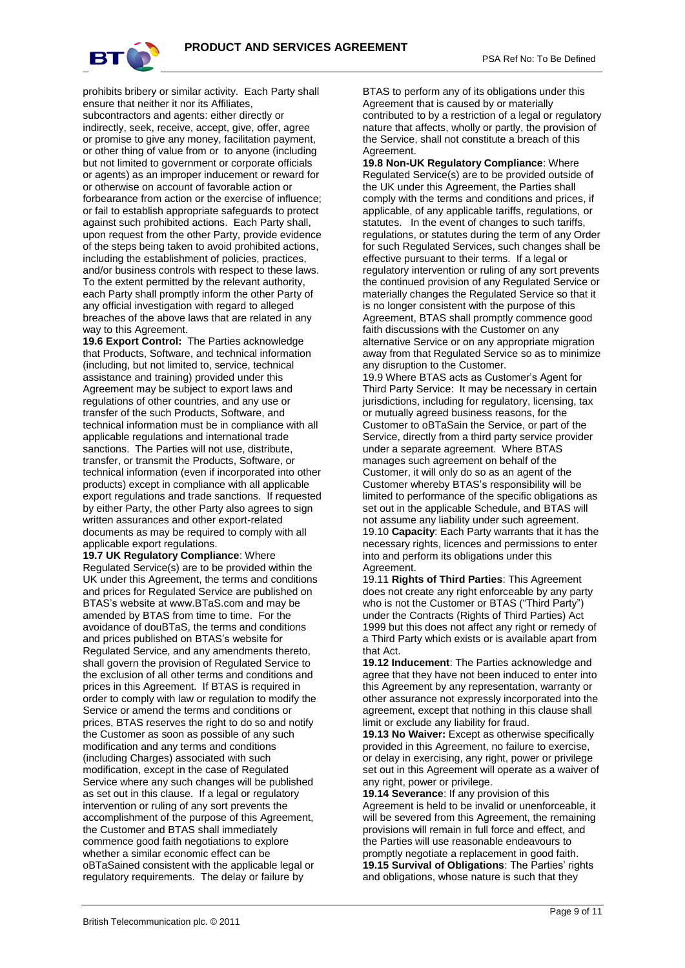

prohibits bribery or similar activity. Each Party shall ensure that neither it nor its Affiliates, subcontractors and agents: either directly or indirectly, seek, receive, accept, give, offer, agree or promise to give any money, facilitation payment, or other thing of value from or to anyone (including but not limited to government or corporate officials or agents) as an improper inducement or reward for or otherwise on account of favorable action or forbearance from action or the exercise of influence; or fail to establish appropriate safeguards to protect against such prohibited actions. Each Party shall, upon request from the other Party, provide evidence of the steps being taken to avoid prohibited actions, including the establishment of policies, practices, and/or business controls with respect to these laws. To the extent permitted by the relevant authority, each Party shall promptly inform the other Party of any official investigation with regard to alleged breaches of the above laws that are related in any way to this Agreement.

**19.6 Export Control:** The Parties acknowledge that Products, Software, and technical information (including, but not limited to, service, technical assistance and training) provided under this Agreement may be subject to export laws and regulations of other countries, and any use or transfer of the such Products, Software, and technical information must be in compliance with all applicable regulations and international trade sanctions. The Parties will not use, distribute, transfer, or transmit the Products, Software, or technical information (even if incorporated into other products) except in compliance with all applicable export regulations and trade sanctions. If requested by either Party, the other Party also agrees to sign written assurances and other export-related documents as may be required to comply with all applicable export regulations.

**19.7 UK Regulatory Compliance**: Where Regulated Service(s) are to be provided within the UK under this Agreement, the terms and conditions and prices for Regulated Service are published on BTAS's website at www.BTaS.com and may be amended by BTAS from time to time. For the avoidance of douBTaS, the terms and conditions and prices published on BTAS's website for Regulated Service, and any amendments thereto, shall govern the provision of Regulated Service to the exclusion of all other terms and conditions and prices in this Agreement. If BTAS is required in order to comply with law or regulation to modify the Service or amend the terms and conditions or prices, BTAS reserves the right to do so and notify the Customer as soon as possible of any such modification and any terms and conditions (including Charges) associated with such modification, except in the case of Regulated Service where any such changes will be published as set out in this clause. If a legal or regulatory intervention or ruling of any sort prevents the accomplishment of the purpose of this Agreement, the Customer and BTAS shall immediately commence good faith negotiations to explore whether a similar economic effect can be oBTaSained consistent with the applicable legal or regulatory requirements. The delay or failure by

BTAS to perform any of its obligations under this Agreement that is caused by or materially contributed to by a restriction of a legal or regulatory nature that affects, wholly or partly, the provision of the Service, shall not constitute a breach of this Agreement.

**19.8 Non-UK Regulatory Compliance**: Where Regulated Service(s) are to be provided outside of the UK under this Agreement, the Parties shall comply with the terms and conditions and prices, if applicable, of any applicable tariffs, regulations, or statutes. In the event of changes to such tariffs, regulations, or statutes during the term of any Order for such Regulated Services, such changes shall be effective pursuant to their terms. If a legal or regulatory intervention or ruling of any sort prevents the continued provision of any Regulated Service or materially changes the Regulated Service so that it is no longer consistent with the purpose of this Agreement, BTAS shall promptly commence good faith discussions with the Customer on any alternative Service or on any appropriate migration away from that Regulated Service so as to minimize any disruption to the Customer.

19.9 Where BTAS acts as Customer's Agent for Third Party Service: It may be necessary in certain jurisdictions, including for regulatory, licensing, tax or mutually agreed business reasons, for the Customer to oBTaSain the Service, or part of the Service, directly from a third party service provider under a separate agreement. Where BTAS manages such agreement on behalf of the Customer, it will only do so as an agent of the Customer whereby BTAS's responsibility will be limited to performance of the specific obligations as set out in the applicable Schedule, and BTAS will not assume any liability under such agreement. 19.10 **Capacity**: Each Party warrants that it has the necessary rights, licences and permissions to enter into and perform its obligations under this Agreement.

19.11 **Rights of Third Parties**: This Agreement does not create any right enforceable by any party who is not the Customer or BTAS ("Third Party") under the Contracts (Rights of Third Parties) Act 1999 but this does not affect any right or remedy of a Third Party which exists or is available apart from that Act.

**19.12 Inducement**: The Parties acknowledge and agree that they have not been induced to enter into this Agreement by any representation, warranty or other assurance not expressly incorporated into the agreement, except that nothing in this clause shall limit or exclude any liability for fraud.

**19.13 No Waiver:** Except as otherwise specifically provided in this Agreement, no failure to exercise, or delay in exercising, any right, power or privilege set out in this Agreement will operate as a waiver of any right, power or privilege.

**19.14 Severance**: If any provision of this Agreement is held to be invalid or unenforceable, it will be severed from this Agreement, the remaining provisions will remain in full force and effect, and the Parties will use reasonable endeavours to promptly negotiate a replacement in good faith. **19.15 Survival of Obligations**: The Parties' rights and obligations, whose nature is such that they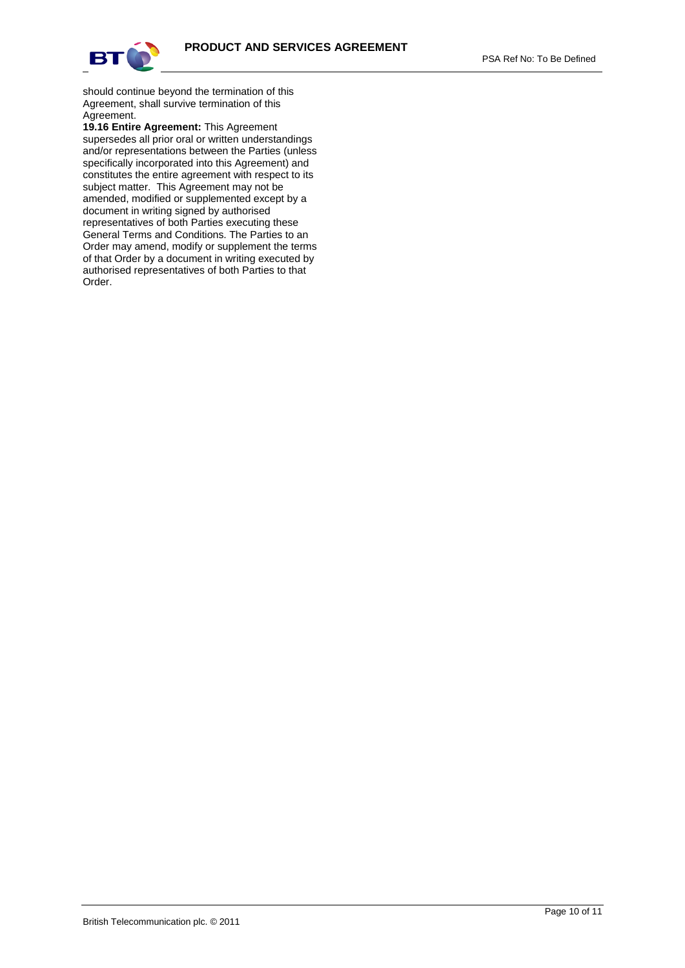

PSA Ref No: To Be Defined

should continue beyond the termination of this Agreement, shall survive termination of this Agreement.

**19.16 Entire Agreement:** This Agreement supersedes all prior oral or written understandings and/or representations between the Parties (unless specifically incorporated into this Agreement) and constitutes the entire agreement with respect to its subject matter. This Agreement may not be amended, modified or supplemented except by a document in writing signed by authorised representatives of both Parties executing these General Terms and Conditions. The Parties to an Order may amend, modify or supplement the terms of that Order by a document in writing executed by authorised representatives of both Parties to that Order.